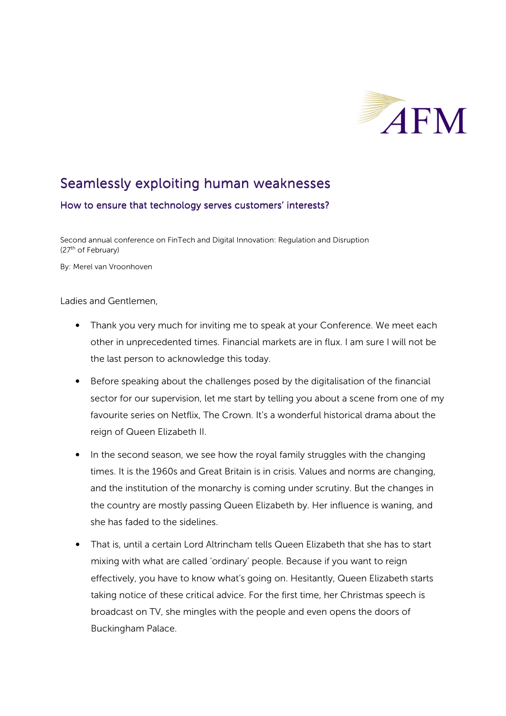

## Seamlessly exploiting human weaknesses

## How to ensure that technology serves customers' interests?

Second annual conference on FinTech and Digital Innovation: Regulation and Disruption (27th of February)

By: Merel van Vroonhoven

Ladies and Gentlemen,

- Thank you very much for inviting me to speak at your Conference. We meet each other in unprecedented times. Financial markets are in flux. I am sure I will not be the last person to acknowledge this today.
- Before speaking about the challenges posed by the digitalisation of the financial sector for our supervision, let me start by telling you about a scene from one of my favourite series on Netflix, The Crown. It's a wonderful historical drama about the reign of Queen Elizabeth II.
- In the second season, we see how the royal family struggles with the changing times. It is the 1960s and Great Britain is in crisis. Values and norms are changing, and the institution of the monarchy is coming under scrutiny. But the changes in the country are mostly passing Queen Elizabeth by. Her influence is waning, and she has faded to the sidelines.
- That is, until a certain Lord Altrincham tells Queen Elizabeth that she has to start mixing with what are called 'ordinary' people. Because if you want to reign effectively, you have to know what's going on. Hesitantly, Queen Elizabeth starts taking notice of these critical advice. For the first time, her Christmas speech is broadcast on TV, she mingles with the people and even opens the doors of Buckingham Palace.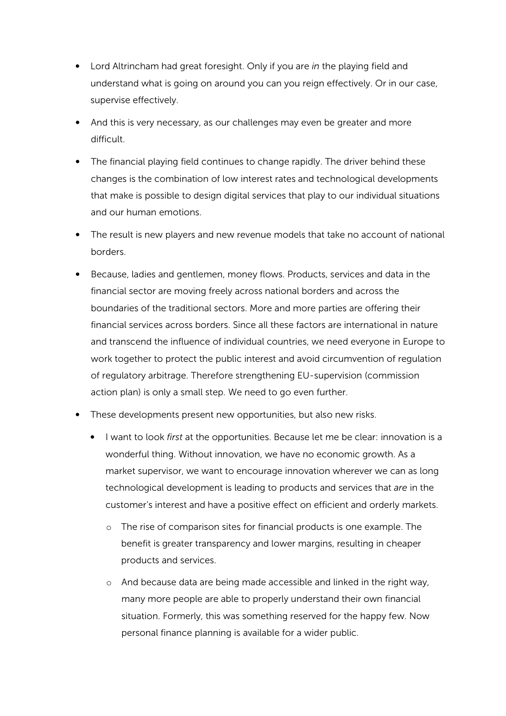- Lord Altrincham had great foresight. Only if you are *in* the playing field and understand what is going on around you can you reign effectively. Or in our case, supervise effectively.
- And this is very necessary, as our challenges may even be greater and more difficult.
- The financial playing field continues to change rapidly. The driver behind these changes is the combination of low interest rates and technological developments that make is possible to design digital services that play to our individual situations and our human emotions.
- The result is new players and new revenue models that take no account of national borders.
- Because, ladies and gentlemen, money flows. Products, services and data in the financial sector are moving freely across national borders and across the boundaries of the traditional sectors. More and more parties are offering their financial services across borders. Since all these factors are international in nature and transcend the influence of individual countries, we need everyone in Europe to work together to protect the public interest and avoid circumvention of regulation of regulatory arbitrage. Therefore strengthening EU-supervision (commission action plan) is only a small step. We need to go even further.
- These developments present new opportunities, but also new risks.
	- I want to look *first* at the opportunities. Because let me be clear: innovation is a wonderful thing. Without innovation, we have no economic growth. As a market supervisor, we want to encourage innovation wherever we can as long technological development is leading to products and services that *are* in the customer's interest and have a positive effect on efficient and orderly markets.
		- o The rise of comparison sites for financial products is one example. The benefit is greater transparency and lower margins, resulting in cheaper products and services.
		- o And because data are being made accessible and linked in the right way, many more people are able to properly understand their own financial situation. Formerly, this was something reserved for the happy few. Now personal finance planning is available for a wider public.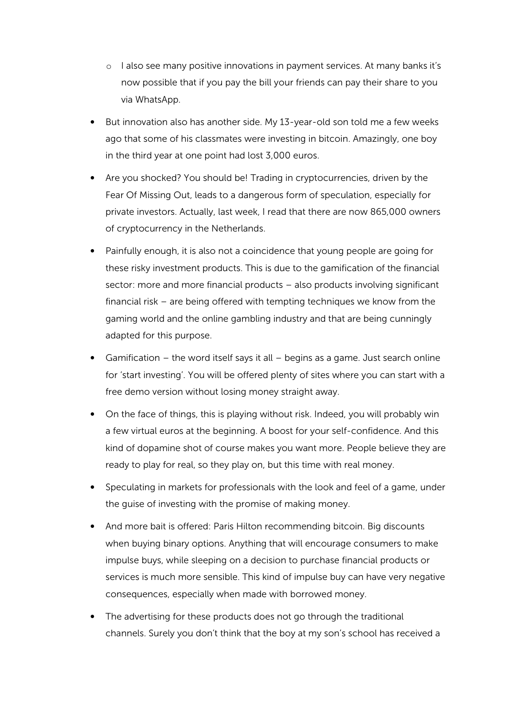- o I also see many positive innovations in payment services. At many banks it's now possible that if you pay the bill your friends can pay their share to you via WhatsApp.
- But innovation also has another side. My 13-year-old son told me a few weeks ago that some of his classmates were investing in bitcoin. Amazingly, one boy in the third year at one point had lost 3,000 euros.
- Are you shocked? You should be! Trading in cryptocurrencies, driven by the Fear Of Missing Out, leads to a dangerous form of speculation, especially for private investors. Actually, last week, I read that there are now 865,000 owners of cryptocurrency in the Netherlands.
- Painfully enough, it is also not a coincidence that young people are going for these risky investment products. This is due to the gamification of the financial sector: more and more financial products – also products involving significant financial risk – are being offered with tempting techniques we know from the gaming world and the online gambling industry and that are being cunningly adapted for this purpose.
- Gamification the word itself says it all begins as a game. Just search online for 'start investing'. You will be offered plenty of sites where you can start with a free demo version without losing money straight away.
- On the face of things, this is playing without risk. Indeed, you will probably win a few virtual euros at the beginning. A boost for your self-confidence. And this kind of dopamine shot of course makes you want more. People believe they are ready to play for real, so they play on, but this time with real money.
- Speculating in markets for professionals with the look and feel of a game, under the guise of investing with the promise of making money.
- And more bait is offered: Paris Hilton recommending bitcoin. Big discounts when buying binary options. Anything that will encourage consumers to make impulse buys, while sleeping on a decision to purchase financial products or services is much more sensible. This kind of impulse buy can have very negative consequences, especially when made with borrowed money.
- The advertising for these products does not go through the traditional channels. Surely you don't think that the boy at my son's school has received a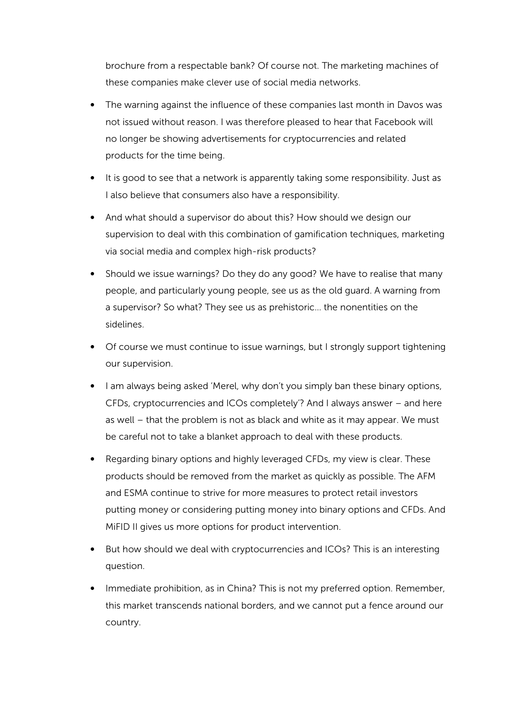brochure from a respectable bank? Of course not. The marketing machines of these companies make clever use of social media networks.

- The warning against the influence of these companies last month in Davos was not issued without reason. I was therefore pleased to hear that Facebook will no longer be showing advertisements for cryptocurrencies and related products for the time being.
- It is good to see that a network is apparently taking some responsibility. Just as I also believe that consumers also have a responsibility.
- And what should a supervisor do about this? How should we design our supervision to deal with this combination of gamification techniques, marketing via social media and complex high-risk products?
- Should we issue warnings? Do they do any good? We have to realise that many people, and particularly young people, see us as the old guard. A warning from a supervisor? So what? They see us as prehistoric… the nonentities on the sidelines.
- Of course we must continue to issue warnings, but I strongly support tightening our supervision.
- I am always being asked 'Merel, why don't you simply ban these binary options, CFDs, cryptocurrencies and ICOs completely'? And I always answer – and here as well – that the problem is not as black and white as it may appear. We must be careful not to take a blanket approach to deal with these products.
- Regarding binary options and highly leveraged CFDs, my view is clear. These products should be removed from the market as quickly as possible. The AFM and ESMA continue to strive for more measures to protect retail investors putting money or considering putting money into binary options and CFDs. And MiFID II gives us more options for product intervention.
- But how should we deal with cryptocurrencies and ICOs? This is an interesting question.
- Immediate prohibition, as in China? This is not my preferred option. Remember, this market transcends national borders, and we cannot put a fence around our country.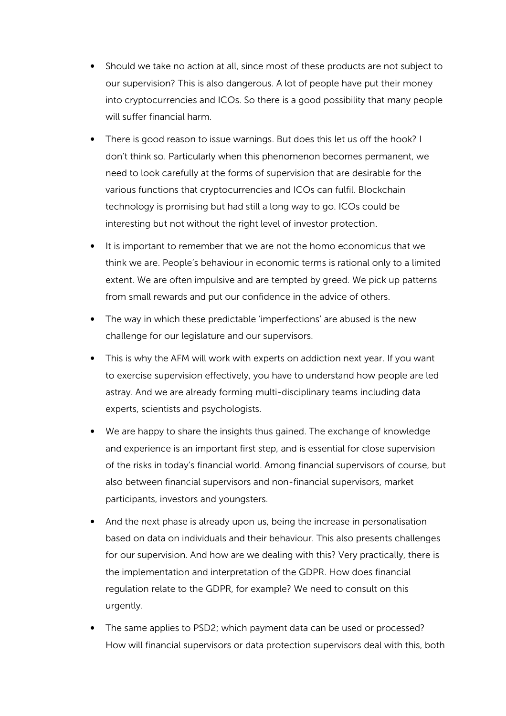- Should we take no action at all, since most of these products are not subject to our supervision? This is also dangerous. A lot of people have put their money into cryptocurrencies and ICOs. So there is a good possibility that many people will suffer financial harm.
- There is good reason to issue warnings. But does this let us off the hook? I don't think so. Particularly when this phenomenon becomes permanent, we need to look carefully at the forms of supervision that are desirable for the various functions that cryptocurrencies and ICOs can fulfil. Blockchain technology is promising but had still a long way to go. ICOs could be interesting but not without the right level of investor protection.
- It is important to remember that we are not the homo economicus that we think we are. People's behaviour in economic terms is rational only to a limited extent. We are often impulsive and are tempted by greed. We pick up patterns from small rewards and put our confidence in the advice of others.
- The way in which these predictable 'imperfections' are abused is the new challenge for our legislature and our supervisors.
- This is why the AFM will work with experts on addiction next year. If you want to exercise supervision effectively, you have to understand how people are led astray. And we are already forming multi-disciplinary teams including data experts, scientists and psychologists.
- We are happy to share the insights thus gained. The exchange of knowledge and experience is an important first step, and is essential for close supervision of the risks in today's financial world. Among financial supervisors of course, but also between financial supervisors and non-financial supervisors, market participants, investors and youngsters.
- And the next phase is already upon us, being the increase in personalisation based on data on individuals and their behaviour. This also presents challenges for our supervision. And how are we dealing with this? Very practically, there is the implementation and interpretation of the GDPR. How does financial regulation relate to the GDPR, for example? We need to consult on this urgently.
- The same applies to PSD2; which payment data can be used or processed? How will financial supervisors or data protection supervisors deal with this, both